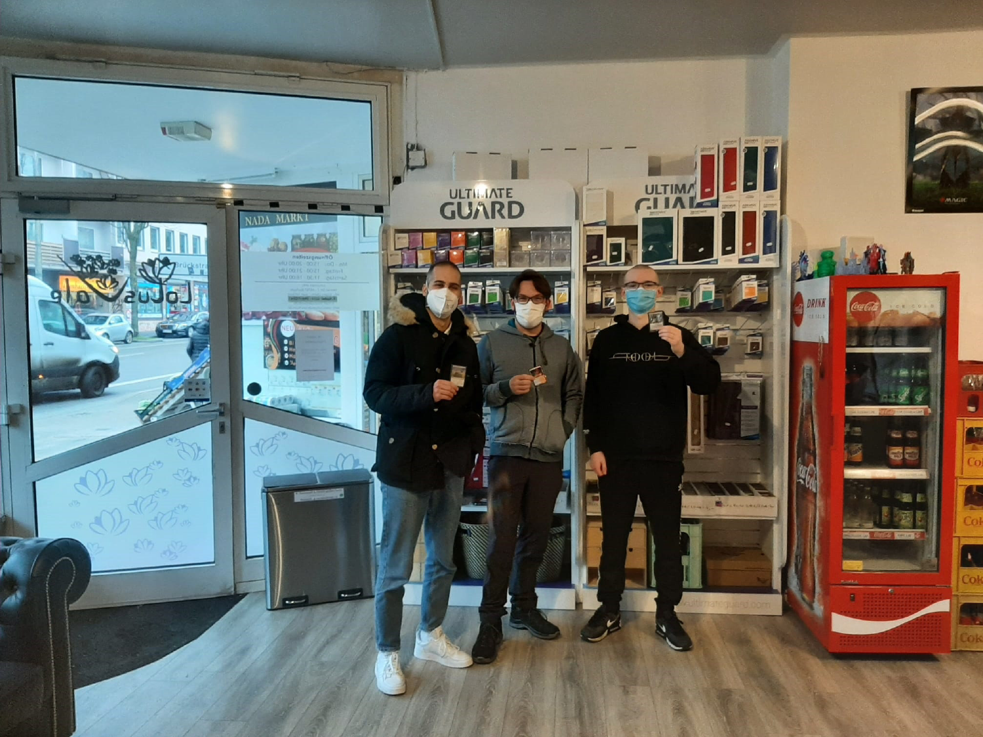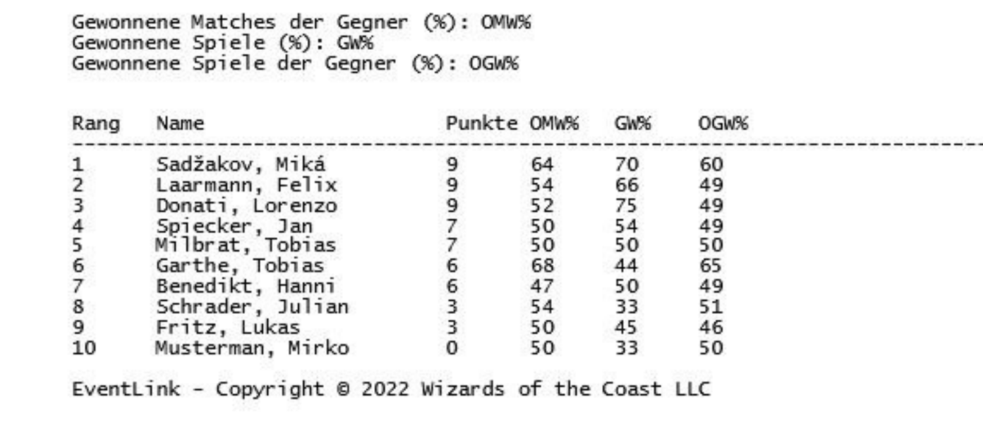Gewonnene Matches der Gegner (%): OMW% Gewonnene Spiele (%): GW% Gewonnene Spiele der Gegner (%): OGW%

| Rang                                         | Name             | Punkte OMW% |    | GW% | OGW% |
|----------------------------------------------|------------------|-------------|----|-----|------|
|                                              | Sadžakov, Miká   |             | 64 | 70  | 60   |
| $\begin{array}{c}\n1 \\ 2 \\ 3\n\end{array}$ | Laarmann, Felix  |             | 54 | 66  | 49   |
|                                              | Donati, Lorenzo  |             | 52 | 75  | 49   |
| $\frac{4}{5}$                                | Spiecker, Jan    |             | 50 | 54  | 49   |
|                                              | Milbrat, Tobias  |             | 50 | 50  | 50   |
| $\begin{array}{c} 6 \\ 7 \end{array}$        | Garthe, Tobias   |             | 68 | 44  | 65   |
|                                              | Benedikt, Hanni  |             | 47 | 50  | 49   |
| 8                                            | Schrader, Julian |             | 54 | 33  | 51   |
| 9                                            | Fritz, Lukas     |             | 50 | 45  | 46   |
| 10                                           | Musterman, Mirko |             | 50 | 33  | 50   |

EventLink - Copyright © 2022 Wizards of the Coast LLC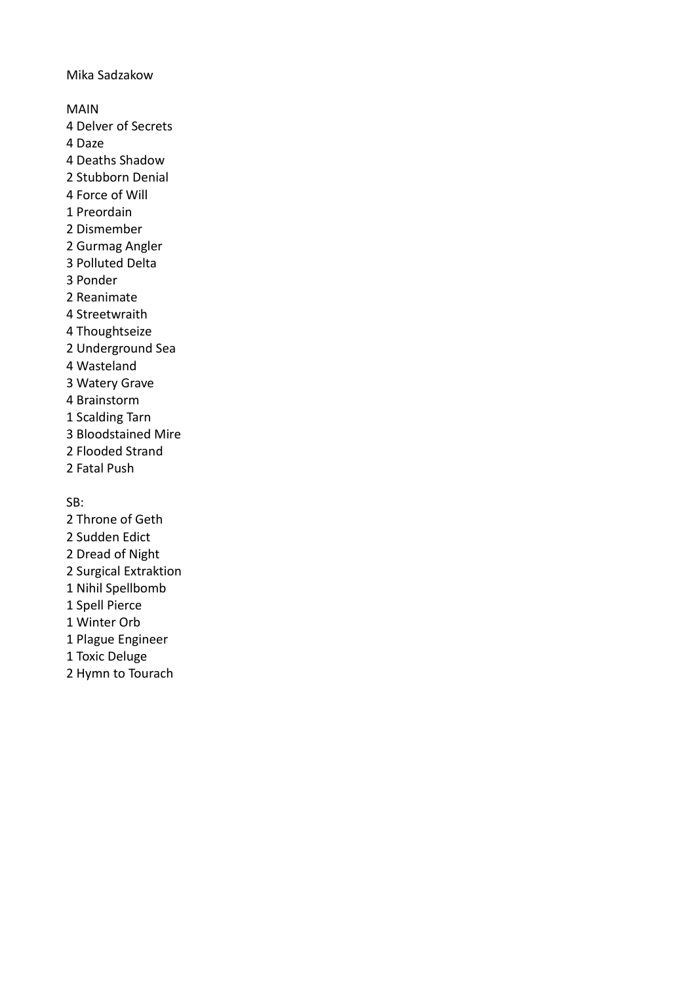Mika Sadzakow

MAIN 4 Delver of Secrets 4 Daze 4 Deaths Shadow 2 Stubborn Denial 4 Force of Will 1 Preordain 2 Dismember 2 Gurmag Angler 3 Polluted Delta 3 Ponder 2 Reanimate 4 Streetwraith 4 Thoughtseize 2 Underground Sea 4 Wasteland 3 Watery Grave 4 Brainstorm 1 Scalding Tarn 3 Bloodstained Mire 2 Flooded Strand 2 Fatal Push

SB:

2 Throne of Geth 2 Sudden Edict 2 Dread of Night 2 Surgical Extraktion 1 Nihil Spellbomb 1 Spell Pierce 1 Winter Orb 1 Plague Engineer 1 Toxic Deluge 2 Hymn to Tourach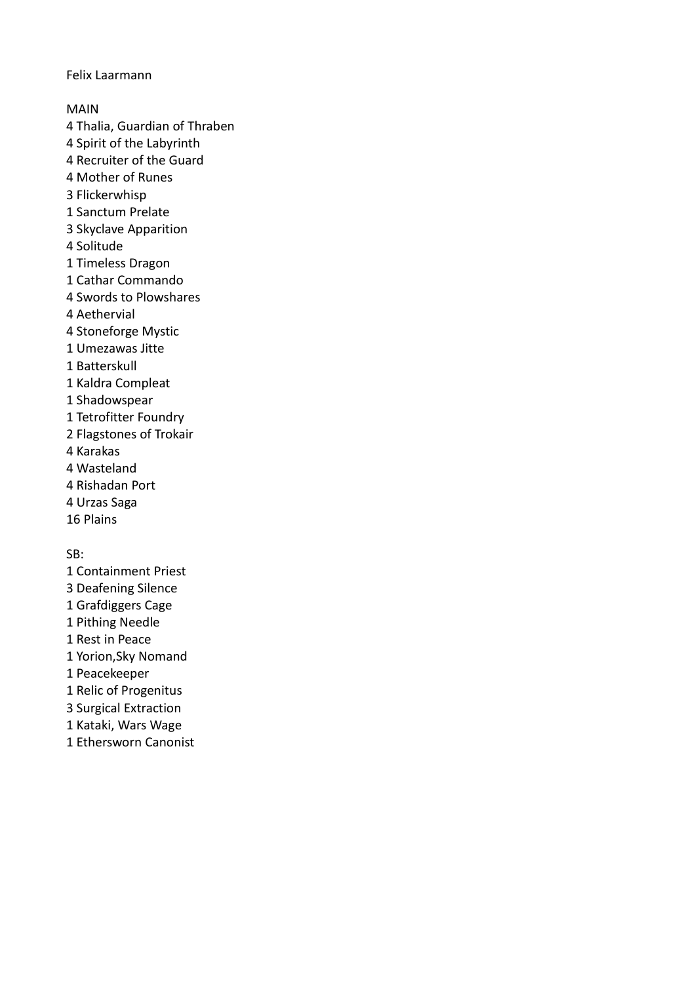Felix Laarmann

MAIN

4 Thalia, Guardian of Thraben 4 Spirit of the Labyrinth 4 Recruiter of the Guard 4 Mother of Runes 3 Flickerwhisp 1 Sanctum Prelate 3 Skyclave Apparition 4 Solitude 1 Timeless Dragon 1 Cathar Commando 4 Swords to Plowshares 4 Aethervial 4 Stoneforge Mystic 1 Umezawas Jitte 1 Batterskull 1 Kaldra Compleat 1 Shadowspear 1 Tetrofitter Foundry 2 Flagstones of Trokair 4 Karakas 4 Wasteland 4 Rishadan Port 4 Urzas Saga 16 Plains

## SB:

- 1 Containment Priest
- 3 Deafening Silence
- 1 Grafdiggers Cage
- 1 Pithing Needle
- 1 Rest in Peace
- 1 Yorion,Sky Nomand
- 1 Peacekeeper
- 1 Relic of Progenitus
- 3 Surgical Extraction
- 1 Kataki, Wars Wage
- 1 Ethersworn Canonist